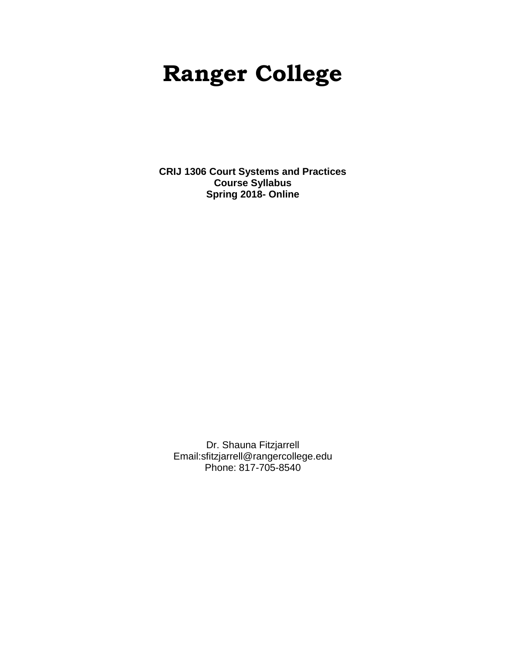# **Ranger College**

**CRIJ 1306 Court Systems and Practices Course Syllabus Spring 2018- Online**

Dr. Shauna Fitzjarrell Email:sfitzjarrell@rangercollege.edu Phone: 817-705-8540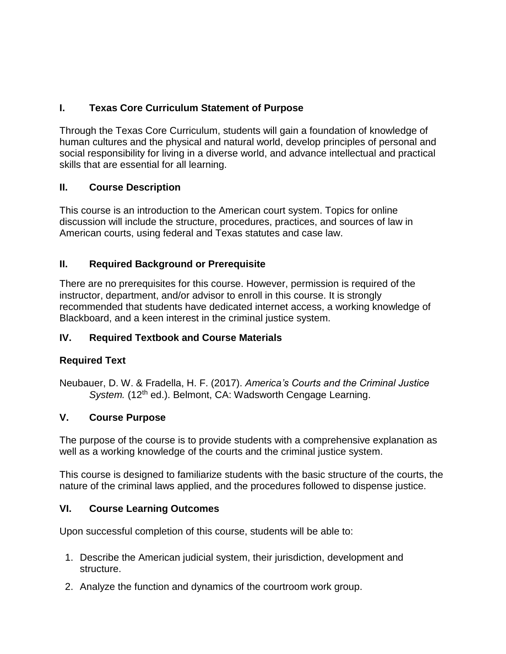# **I. Texas Core Curriculum Statement of Purpose**

Through the Texas Core Curriculum, students will gain a foundation of knowledge of human cultures and the physical and natural world, develop principles of personal and social responsibility for living in a diverse world, and advance intellectual and practical skills that are essential for all learning.

## **II. Course Description**

This course is an introduction to the American court system. Topics for online discussion will include the structure, procedures, practices, and sources of law in American courts, using federal and Texas statutes and case law.

## **II. Required Background or Prerequisite**

There are no prerequisites for this course. However, permission is required of the instructor, department, and/or advisor to enroll in this course. It is strongly recommended that students have dedicated internet access, a working knowledge of Blackboard, and a keen interest in the criminal justice system.

# **IV. Required Textbook and Course Materials**

## **Required Text**

Neubauer, D. W. & Fradella, H. F. (2017). *America's Courts and the Criminal Justice*  System. (12<sup>th</sup> ed.). Belmont, CA: Wadsworth Cengage Learning.

## **V. Course Purpose**

The purpose of the course is to provide students with a comprehensive explanation as well as a working knowledge of the courts and the criminal justice system.

This course is designed to familiarize students with the basic structure of the courts, the nature of the criminal laws applied, and the procedures followed to dispense justice.

## **VI. Course Learning Outcomes**

Upon successful completion of this course, students will be able to:

- 1. Describe the American judicial system, their jurisdiction, development and structure.
- 2. Analyze the function and dynamics of the courtroom work group.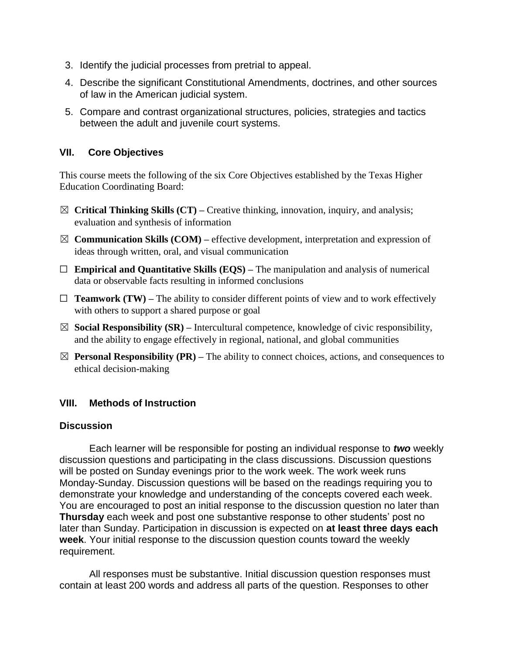- 3. Identify the judicial processes from pretrial to appeal.
- 4. Describe the significant Constitutional Amendments, doctrines, and other sources of law in the American judicial system.
- 5. Compare and contrast organizational structures, policies, strategies and tactics between the adult and juvenile court systems.

#### **VII. Core Objectives**

This course meets the following of the six Core Objectives established by the Texas Higher Education Coordinating Board:

- ☒ **Critical Thinking Skills (CT) –** Creative thinking, innovation, inquiry, and analysis; evaluation and synthesis of information
- $\boxtimes$  **Communication Skills (COM)** effective development, interpretation and expression of ideas through written, oral, and visual communication
- ☐ **Empirical and Quantitative Skills (EQS) –** The manipulation and analysis of numerical data or observable facts resulting in informed conclusions
- $\Box$  **Teamwork (TW)** The ability to consider different points of view and to work effectively with others to support a shared purpose or goal
- ☒ **Social Responsibility (SR) –** Intercultural competence, knowledge of civic responsibility, and the ability to engage effectively in regional, national, and global communities
- $\boxtimes$  **Personal Responsibility (PR)** The ability to connect choices, actions, and consequences to ethical decision-making

#### **VIII. Methods of Instruction**

#### **Discussion**

Each learner will be responsible for posting an individual response to *two* weekly discussion questions and participating in the class discussions. Discussion questions will be posted on Sunday evenings prior to the work week. The work week runs Monday-Sunday. Discussion questions will be based on the readings requiring you to demonstrate your knowledge and understanding of the concepts covered each week. You are encouraged to post an initial response to the discussion question no later than **Thursday** each week and post one substantive response to other students' post no later than Sunday. Participation in discussion is expected on **at least three days each week**. Your initial response to the discussion question counts toward the weekly requirement.

All responses must be substantive. Initial discussion question responses must contain at least 200 words and address all parts of the question. Responses to other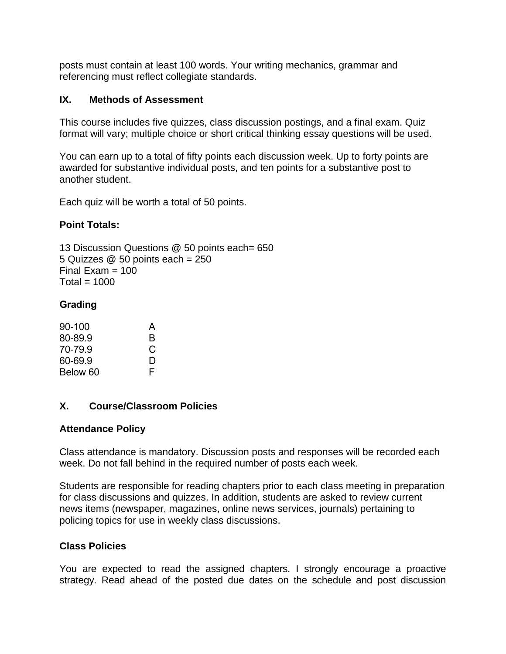posts must contain at least 100 words. Your writing mechanics, grammar and referencing must reflect collegiate standards.

#### **IX. Methods of Assessment**

This course includes five quizzes, class discussion postings, and a final exam. Quiz format will vary; multiple choice or short critical thinking essay questions will be used.

You can earn up to a total of fifty points each discussion week. Up to forty points are awarded for substantive individual posts, and ten points for a substantive post to another student.

Each quiz will be worth a total of 50 points.

#### **Point Totals:**

13 Discussion Questions @ 50 points each= 650 5 Quizzes @ 50 points each = 250 Final Exam  $= 100$  $Total = 1000$ 

#### **Grading**

| $90 - 100$ | A |
|------------|---|
| 80-89.9    | В |
| 70-79.9    | C |
| 60-69.9    | D |
| Below 60   | F |

#### **X. Course/Classroom Policies**

#### **Attendance Policy**

Class attendance is mandatory. Discussion posts and responses will be recorded each week. Do not fall behind in the required number of posts each week.

Students are responsible for reading chapters prior to each class meeting in preparation for class discussions and quizzes. In addition, students are asked to review current news items (newspaper, magazines, online news services, journals) pertaining to policing topics for use in weekly class discussions.

#### **Class Policies**

You are expected to read the assigned chapters. I strongly encourage a proactive strategy. Read ahead of the posted due dates on the schedule and post discussion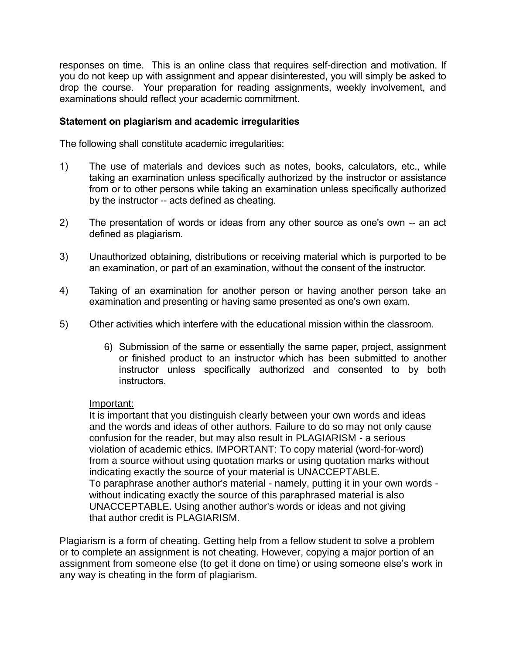responses on time. This is an online class that requires self-direction and motivation. If you do not keep up with assignment and appear disinterested, you will simply be asked to drop the course. Your preparation for reading assignments, weekly involvement, and examinations should reflect your academic commitment.

#### **Statement on plagiarism and academic irregularities**

The following shall constitute academic irregularities:

- 1) The use of materials and devices such as notes, books, calculators, etc., while taking an examination unless specifically authorized by the instructor or assistance from or to other persons while taking an examination unless specifically authorized by the instructor -- acts defined as cheating.
- 2) The presentation of words or ideas from any other source as one's own -- an act defined as plagiarism.
- 3) Unauthorized obtaining, distributions or receiving material which is purported to be an examination, or part of an examination, without the consent of the instructor.
- 4) Taking of an examination for another person or having another person take an examination and presenting or having same presented as one's own exam.
- 5) Other activities which interfere with the educational mission within the classroom.
	- 6) Submission of the same or essentially the same paper, project, assignment or finished product to an instructor which has been submitted to another instructor unless specifically authorized and consented to by both instructors.

#### Important:

It is important that you distinguish clearly between your own words and ideas and the words and ideas of other authors. Failure to do so may not only cause confusion for the reader, but may also result in PLAGIARISM - a serious violation of academic ethics. IMPORTANT: To copy material (word-for-word) from a source without using quotation marks or using quotation marks without indicating exactly the source of your material is UNACCEPTABLE. To paraphrase another author's material - namely, putting it in your own words without indicating exactly the source of this paraphrased material is also UNACCEPTABLE. Using another author's words or ideas and not giving that author credit is PLAGIARISM.

Plagiarism is a form of cheating. Getting help from a fellow student to solve a problem or to complete an assignment is not cheating. However, copying a major portion of an assignment from someone else (to get it done on time) or using someone else's work in any way is cheating in the form of plagiarism.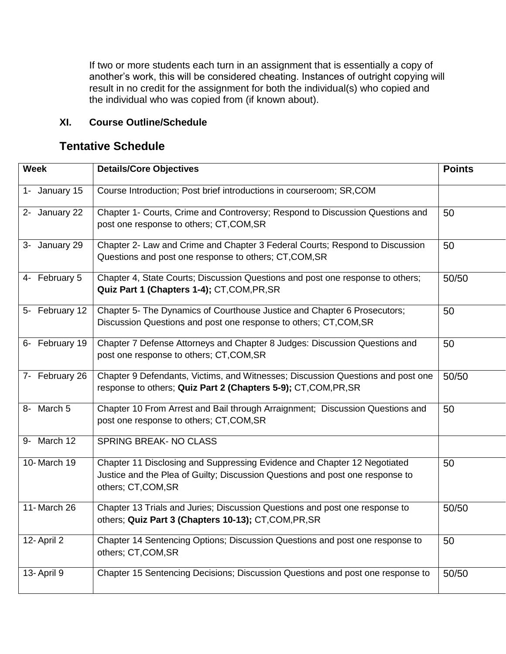If two or more students each turn in an assignment that is essentially a copy of another's work, this will be considered cheating. Instances of outright copying will result in no credit for the assignment for both the individual(s) who copied and the individual who was copied from (if known about).

#### **XI. Course Outline/Schedule**

# **Tentative Schedule**

| <b>Week</b>    | <b>Details/Core Objectives</b>                                                                                                                                                 | <b>Points</b> |
|----------------|--------------------------------------------------------------------------------------------------------------------------------------------------------------------------------|---------------|
| 1- January 15  | Course Introduction; Post brief introductions in courseroom; SR,COM                                                                                                            |               |
| 2- January 22  | Chapter 1- Courts, Crime and Controversy; Respond to Discussion Questions and<br>post one response to others; CT, COM, SR                                                      | 50            |
| 3- January 29  | Chapter 2- Law and Crime and Chapter 3 Federal Courts; Respond to Discussion<br>Questions and post one response to others; CT, COM, SR                                         | 50            |
| 4- February 5  | Chapter 4, State Courts; Discussion Questions and post one response to others;<br>Quiz Part 1 (Chapters 1-4); CT, COM, PR, SR                                                  | 50/50         |
| 5- February 12 | Chapter 5- The Dynamics of Courthouse Justice and Chapter 6 Prosecutors;<br>Discussion Questions and post one response to others; CT, COM, SR                                  | 50            |
| 6- February 19 | Chapter 7 Defense Attorneys and Chapter 8 Judges: Discussion Questions and<br>post one response to others; CT, COM, SR                                                         | 50            |
| 7- February 26 | Chapter 9 Defendants, Victims, and Witnesses; Discussion Questions and post one<br>response to others; Quiz Part 2 (Chapters 5-9); CT, COM, PR, SR                             | 50/50         |
| 8- March 5     | Chapter 10 From Arrest and Bail through Arraignment; Discussion Questions and<br>post one response to others; CT, COM, SR                                                      | 50            |
| 9- March 12    | <b>SPRING BREAK- NO CLASS</b>                                                                                                                                                  |               |
| 10-March 19    | Chapter 11 Disclosing and Suppressing Evidence and Chapter 12 Negotiated<br>Justice and the Plea of Guilty; Discussion Questions and post one response to<br>others; CT,COM,SR | 50            |
| 11- March 26   | Chapter 13 Trials and Juries; Discussion Questions and post one response to<br>others; Quiz Part 3 (Chapters 10-13); CT, COM, PR, SR                                           | 50/50         |
| 12- April 2    | Chapter 14 Sentencing Options; Discussion Questions and post one response to<br>others; CT,COM,SR                                                                              | 50            |
| 13-April 9     | Chapter 15 Sentencing Decisions; Discussion Questions and post one response to                                                                                                 | 50/50         |